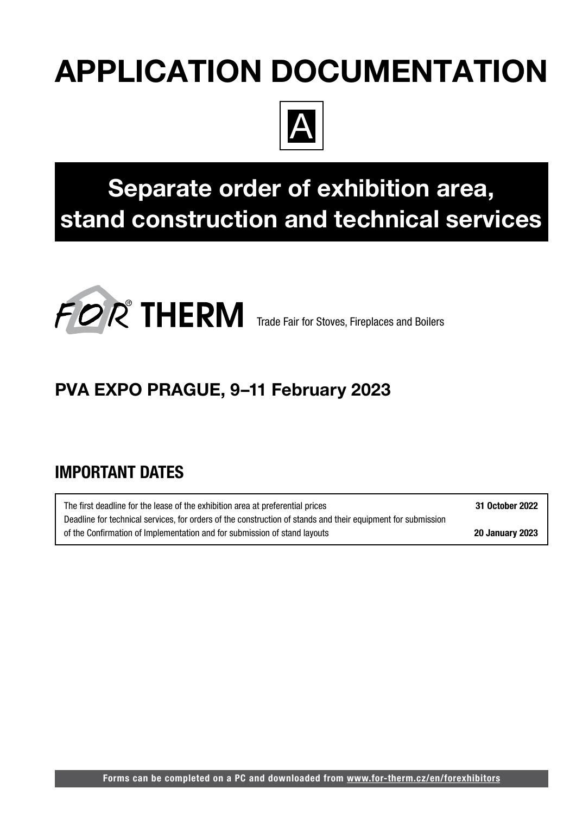# APPLICATION DOCUMENTATION



# Separate order of exhibition area, stand construction and technical services



# PVA EXPO PRAGUE, 9–11 February 2023

# IMPORTANT DATES

The first deadline for the lease of the exhibition area at preferential prices 31 October 2022 Deadline for technical services, for orders of the construction of stands and their equipment for submission of the Confirmation of Implementation and for submission of stand layouts 20 January 2023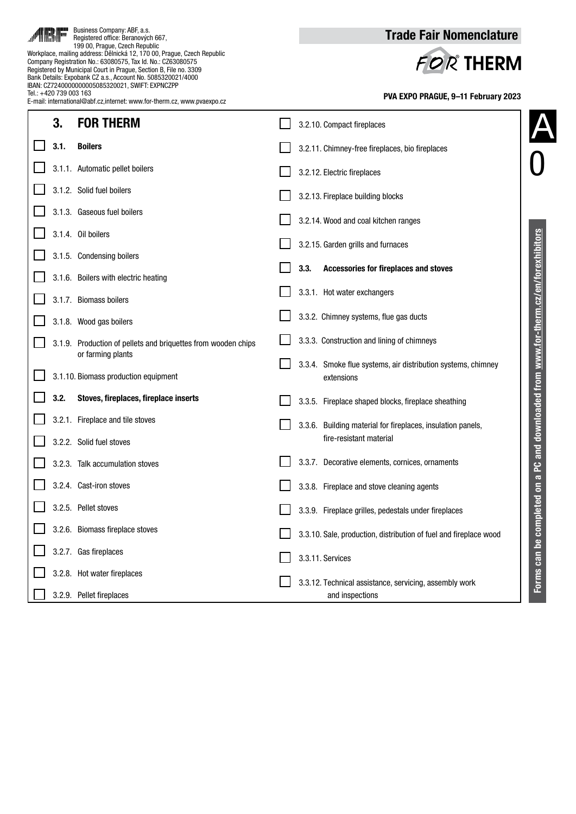| Tel.: +420 739 003 163 | Workplace, mailing address: Dělnická 12, 170 00, Prague, Czech Republic<br>Company Registration No.: 63080575, Tax Id. No.: CZ63080575<br>Registered by Municipal Court in Prague, Section B, File no. 3309<br>Bank Details: Expobank CZ a.s., Account No. 5085320021/4000<br>IBAN: CZ7240000000005085320021, SWIFT: EXPNCZPP<br>E-mail: international@abf.cz.internet: www.for-therm.cz. www.pvaexpo.cz | FOR THERM<br>PVA EXPO PRAGUE, 9-11 February 2023                                                                |
|------------------------|----------------------------------------------------------------------------------------------------------------------------------------------------------------------------------------------------------------------------------------------------------------------------------------------------------------------------------------------------------------------------------------------------------|-----------------------------------------------------------------------------------------------------------------|
| 3.                     | <b>FOR THERM</b>                                                                                                                                                                                                                                                                                                                                                                                         | 3.2.10. Compact fireplaces                                                                                      |
| 3.1.                   | <b>Boilers</b>                                                                                                                                                                                                                                                                                                                                                                                           | 3.2.11. Chimney-free fireplaces, bio fireplaces                                                                 |
|                        | 3.1.1. Automatic pellet boilers                                                                                                                                                                                                                                                                                                                                                                          | 3.2.12. Electric fireplaces                                                                                     |
|                        | 3.1.2. Solid fuel boilers                                                                                                                                                                                                                                                                                                                                                                                | 3.2.13. Fireplace building blocks                                                                               |
|                        | 3.1.3. Gaseous fuel boilers                                                                                                                                                                                                                                                                                                                                                                              | 3.2.14. Wood and coal kitchen ranges                                                                            |
|                        | 3.1.4. Oil boilers                                                                                                                                                                                                                                                                                                                                                                                       | 3.2.15. Garden grills and furnaces                                                                              |
|                        | 3.1.5. Condensing boilers                                                                                                                                                                                                                                                                                                                                                                                | Accessories for fireplaces and stoves<br>3.3.                                                                   |
|                        | 3.1.6. Boilers with electric heating                                                                                                                                                                                                                                                                                                                                                                     | 3.3.1. Hot water exchangers                                                                                     |
|                        | 3.1.7. Biomass boilers                                                                                                                                                                                                                                                                                                                                                                                   | 3.3.2. Chimney systems, flue gas ducts                                                                          |
|                        | 3.1.8. Wood gas boilers                                                                                                                                                                                                                                                                                                                                                                                  |                                                                                                                 |
|                        | 3.1.9. Production of pellets and briquettes from wooden chips<br>or farming plants                                                                                                                                                                                                                                                                                                                       | 3.3.3. Construction and lining of chimneys                                                                      |
|                        | 3.1.10. Biomass production equipment                                                                                                                                                                                                                                                                                                                                                                     | 3.3.4. Smoke flue systems, air distribution systems, chimney<br>extensions                                      |
| 3.2.                   | Stoves, fireplaces, fireplace inserts                                                                                                                                                                                                                                                                                                                                                                    | PC and downloaded from www.for-therm.cz/en/forexhibitors<br>3.3.5. Fireplace shaped blocks, fireplace sheathing |
|                        | 3.2.1. Fireplace and tile stoves                                                                                                                                                                                                                                                                                                                                                                         | 3.3.6. Building material for fireplaces, insulation panels,                                                     |
|                        | 3.2.2. Solid fuel stoves                                                                                                                                                                                                                                                                                                                                                                                 | fire-resistant material                                                                                         |
|                        | 3.2.3. Talk accumulation stoves                                                                                                                                                                                                                                                                                                                                                                          | 3.3.7. Decorative elements, cornices, ornaments                                                                 |
|                        | 3.2.4. Cast-iron stoves                                                                                                                                                                                                                                                                                                                                                                                  | 3.3.8. Fireplace and stove cleaning agents                                                                      |
|                        | 3.2.5. Pellet stoves                                                                                                                                                                                                                                                                                                                                                                                     | 3.3.9. Fireplace grilles, pedestals under fireplaces                                                            |
|                        | 3.2.6. Biomass fireplace stoves                                                                                                                                                                                                                                                                                                                                                                          | 3.3.10. Sale, production, distribution of fuel and fireplace wood                                               |
|                        | 3.2.7. Gas fireplaces                                                                                                                                                                                                                                                                                                                                                                                    | 3.3.11. Services                                                                                                |
|                        | 3.2.8. Hot water fireplaces                                                                                                                                                                                                                                                                                                                                                                              | 3.3.12. Technical assistance, servicing, assembly work                                                          |
|                        | 3.2.9. Pellet fireplaces                                                                                                                                                                                                                                                                                                                                                                                 | and inspections                                                                                                 |

Trade Fair Nomenclature

Business Company: ABF, a.s. Registered office: Beranových 667, 199 00, Prague, Czech Republic

الل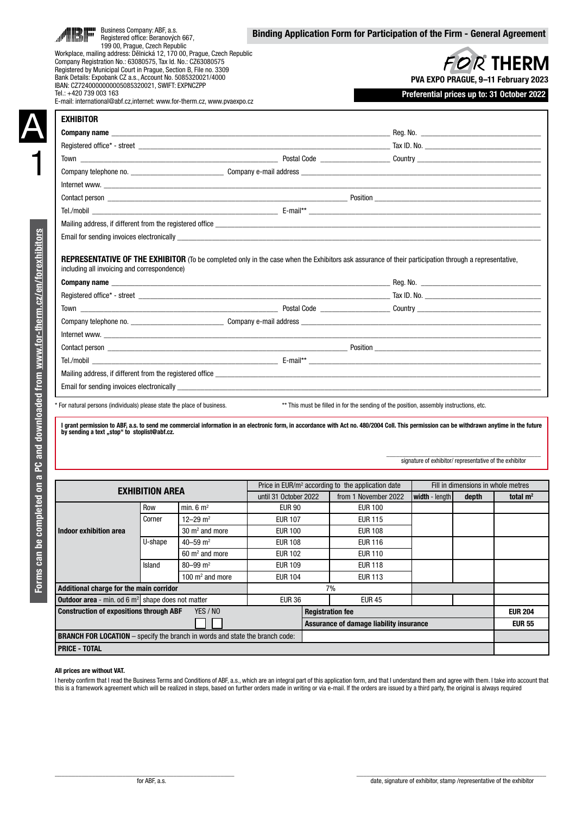|                                                                                                                                                                                                                                                                                                                                                         | Registered office: Beranových 667, |                                 |                                  |                         | Binding Application Form for Participation of the Firm - General Agreement                                                                                                                                                                                                                                                                                                                                                                                      |                                                                                   |                                    |                |
|---------------------------------------------------------------------------------------------------------------------------------------------------------------------------------------------------------------------------------------------------------------------------------------------------------------------------------------------------------|------------------------------------|---------------------------------|----------------------------------|-------------------------|-----------------------------------------------------------------------------------------------------------------------------------------------------------------------------------------------------------------------------------------------------------------------------------------------------------------------------------------------------------------------------------------------------------------------------------------------------------------|-----------------------------------------------------------------------------------|------------------------------------|----------------|
| Workplace, mailing address: Dělnická 12, 170 00, Prague, Czech Republic<br>Company Registration No.: 63080575, Tax Id. No.: CZ63080575<br>Registered by Municipal Court in Prague, Section B, File no. 3309<br>Bank Details: Expobank CZ a.s., Account No. 5085320021/4000<br>IBAN: CZ7240000000005085320021, SWIFT: EXPNCZPP<br>Tel.: +420 739 003 163 | 199 00, Prague, Czech Republic     |                                 |                                  |                         |                                                                                                                                                                                                                                                                                                                                                                                                                                                                 | PVA EXPO PRAGUE, 9-11 February 2023<br>Preferential prices up to: 31 October 2022 | <b>FOR THERM</b>                   |                |
| E-mail: international@abf.cz.internet: www.for-therm.cz. www.pvaexpo.cz<br><b>EXHIBITOR</b>                                                                                                                                                                                                                                                             |                                    |                                 |                                  |                         |                                                                                                                                                                                                                                                                                                                                                                                                                                                                 |                                                                                   |                                    |                |
|                                                                                                                                                                                                                                                                                                                                                         |                                    |                                 |                                  |                         |                                                                                                                                                                                                                                                                                                                                                                                                                                                                 |                                                                                   |                                    |                |
|                                                                                                                                                                                                                                                                                                                                                         |                                    |                                 |                                  |                         |                                                                                                                                                                                                                                                                                                                                                                                                                                                                 |                                                                                   |                                    |                |
|                                                                                                                                                                                                                                                                                                                                                         |                                    |                                 |                                  |                         |                                                                                                                                                                                                                                                                                                                                                                                                                                                                 |                                                                                   |                                    |                |
|                                                                                                                                                                                                                                                                                                                                                         |                                    |                                 |                                  |                         |                                                                                                                                                                                                                                                                                                                                                                                                                                                                 |                                                                                   |                                    |                |
|                                                                                                                                                                                                                                                                                                                                                         |                                    |                                 |                                  |                         |                                                                                                                                                                                                                                                                                                                                                                                                                                                                 |                                                                                   |                                    |                |
|                                                                                                                                                                                                                                                                                                                                                         |                                    |                                 |                                  |                         |                                                                                                                                                                                                                                                                                                                                                                                                                                                                 |                                                                                   |                                    |                |
|                                                                                                                                                                                                                                                                                                                                                         |                                    |                                 |                                  |                         |                                                                                                                                                                                                                                                                                                                                                                                                                                                                 |                                                                                   |                                    |                |
|                                                                                                                                                                                                                                                                                                                                                         |                                    |                                 |                                  |                         |                                                                                                                                                                                                                                                                                                                                                                                                                                                                 |                                                                                   |                                    |                |
|                                                                                                                                                                                                                                                                                                                                                         |                                    |                                 |                                  |                         |                                                                                                                                                                                                                                                                                                                                                                                                                                                                 |                                                                                   |                                    |                |
|                                                                                                                                                                                                                                                                                                                                                         |                                    |                                 |                                  |                         |                                                                                                                                                                                                                                                                                                                                                                                                                                                                 |                                                                                   |                                    |                |
| including all invoicing and correspondence)                                                                                                                                                                                                                                                                                                             |                                    |                                 |                                  |                         | <b>REPRESENTATIVE OF THE EXHIBITOR</b> (To be completed only in the case when the Exhibitors ask assurance of their participation through a representative,                                                                                                                                                                                                                                                                                                     |                                                                                   |                                    |                |
|                                                                                                                                                                                                                                                                                                                                                         |                                    |                                 |                                  |                         |                                                                                                                                                                                                                                                                                                                                                                                                                                                                 |                                                                                   |                                    |                |
|                                                                                                                                                                                                                                                                                                                                                         |                                    |                                 |                                  |                         | Registered office* - street example and the street example of the street example of the street example of the street example of the street example of the street example of the street example of the street example of the st                                                                                                                                                                                                                                  |                                                                                   |                                    |                |
|                                                                                                                                                                                                                                                                                                                                                         |                                    |                                 |                                  |                         |                                                                                                                                                                                                                                                                                                                                                                                                                                                                 |                                                                                   |                                    |                |
|                                                                                                                                                                                                                                                                                                                                                         |                                    |                                 |                                  |                         |                                                                                                                                                                                                                                                                                                                                                                                                                                                                 |                                                                                   |                                    |                |
|                                                                                                                                                                                                                                                                                                                                                         |                                    |                                 |                                  |                         |                                                                                                                                                                                                                                                                                                                                                                                                                                                                 |                                                                                   |                                    |                |
|                                                                                                                                                                                                                                                                                                                                                         |                                    |                                 |                                  |                         | Contact person <u>substantial contact</u> to the control of the control of the control of the control of the control of the control of the control of the control of the control of the control of the control of the control of th                                                                                                                                                                                                                             |                                                                                   |                                    |                |
|                                                                                                                                                                                                                                                                                                                                                         |                                    |                                 |                                  |                         |                                                                                                                                                                                                                                                                                                                                                                                                                                                                 |                                                                                   |                                    |                |
|                                                                                                                                                                                                                                                                                                                                                         |                                    |                                 |                                  |                         |                                                                                                                                                                                                                                                                                                                                                                                                                                                                 |                                                                                   |                                    |                |
|                                                                                                                                                                                                                                                                                                                                                         |                                    |                                 |                                  |                         |                                                                                                                                                                                                                                                                                                                                                                                                                                                                 |                                                                                   |                                    |                |
|                                                                                                                                                                                                                                                                                                                                                         |                                    |                                 |                                  |                         | Mailing address, if different from the registered office example and the state of the state of the state of the state of the state of the state of the state of the state of the state of the state of the state of the state<br>Email for sending invoices electronically exercise the state of the state of the state of the state of the state of the state of the state of the state of the state of the state of the state of the state of the state of th |                                                                                   |                                    |                |
|                                                                                                                                                                                                                                                                                                                                                         |                                    |                                 |                                  |                         |                                                                                                                                                                                                                                                                                                                                                                                                                                                                 |                                                                                   |                                    |                |
| * For natural persons (individuals) please state the place of business.                                                                                                                                                                                                                                                                                 |                                    |                                 |                                  |                         | ** This must be filled in for the sending of the position, assembly instructions, etc.                                                                                                                                                                                                                                                                                                                                                                          |                                                                                   |                                    |                |
| by sending a text "stop" to stoplist@abf.cz.                                                                                                                                                                                                                                                                                                            |                                    |                                 |                                  |                         | I grant permission to ABF, a.s. to send me commercial information in an electronic form, in accordance with Act no. 480/2004 Coll. This permission can be withdrawn anytime in the future                                                                                                                                                                                                                                                                       | signature of exhibitor/ representative of the exhibitor                           |                                    |                |
|                                                                                                                                                                                                                                                                                                                                                         |                                    |                                 |                                  |                         | Price in EUR/m <sup>2</sup> according to the application date                                                                                                                                                                                                                                                                                                                                                                                                   |                                                                                   | Fill in dimensions in whole metres |                |
|                                                                                                                                                                                                                                                                                                                                                         | <b>EXHIBITION AREA</b>             |                                 | until 31 October 2022            |                         | from 1 November 2022                                                                                                                                                                                                                                                                                                                                                                                                                                            | width - length                                                                    | depth                              |                |
|                                                                                                                                                                                                                                                                                                                                                         | Row                                | min. $6 \text{ m}^2$            | <b>EUR 90</b>                    |                         | <b>EUR 100</b>                                                                                                                                                                                                                                                                                                                                                                                                                                                  |                                                                                   |                                    | total $m2$     |
|                                                                                                                                                                                                                                                                                                                                                         | Corner                             | 12–29 $m2$                      | <b>EUR 107</b>                   |                         | <b>EUR 115</b>                                                                                                                                                                                                                                                                                                                                                                                                                                                  |                                                                                   |                                    |                |
| Indoor exhibition area                                                                                                                                                                                                                                                                                                                                  |                                    | $30 \text{ m}^2$ and more       | <b>EUR 100</b>                   |                         | <b>EUR 108</b>                                                                                                                                                                                                                                                                                                                                                                                                                                                  |                                                                                   |                                    |                |
|                                                                                                                                                                                                                                                                                                                                                         | U-shape                            | 40-59 $m2$                      | <b>EUR 108</b>                   |                         | <b>EUR 116</b>                                                                                                                                                                                                                                                                                                                                                                                                                                                  |                                                                                   |                                    |                |
|                                                                                                                                                                                                                                                                                                                                                         | Island                             | $60 \text{ m}^2$ and more       | <b>EUR 102</b>                   |                         | <b>EUR 110</b><br><b>EUR 118</b>                                                                                                                                                                                                                                                                                                                                                                                                                                |                                                                                   |                                    |                |
|                                                                                                                                                                                                                                                                                                                                                         |                                    | 80-99 $m2$<br>100 $m2$ and more | <b>EUR 109</b><br><b>EUR 104</b> |                         | <b>EUR 113</b>                                                                                                                                                                                                                                                                                                                                                                                                                                                  |                                                                                   |                                    |                |
| Additional charge for the main corridor                                                                                                                                                                                                                                                                                                                 |                                    |                                 |                                  |                         | 7%                                                                                                                                                                                                                                                                                                                                                                                                                                                              |                                                                                   |                                    |                |
| <b>Outdoor area</b> - min. od $6 \text{ m}^2$ shape does not matter                                                                                                                                                                                                                                                                                     |                                    |                                 | <b>EUR 36</b>                    |                         | <b>EUR 45</b>                                                                                                                                                                                                                                                                                                                                                                                                                                                   |                                                                                   |                                    |                |
| <b>Construction of expositions through ABF</b>                                                                                                                                                                                                                                                                                                          |                                    | YES / NO                        |                                  | <b>Registration fee</b> |                                                                                                                                                                                                                                                                                                                                                                                                                                                                 |                                                                                   |                                    | <b>EUR 204</b> |

### All prices are without VAT.

I hereby confirm that I read the Business Terms and Conditions of ABF, a.s., which are an integral part of this application form, and that I understand them and agree with them. I take into account that this is a framework agreement which will be realized in steps, based on further orders made in writing or via e-mail. If the orders are issued by a third party, the original is always required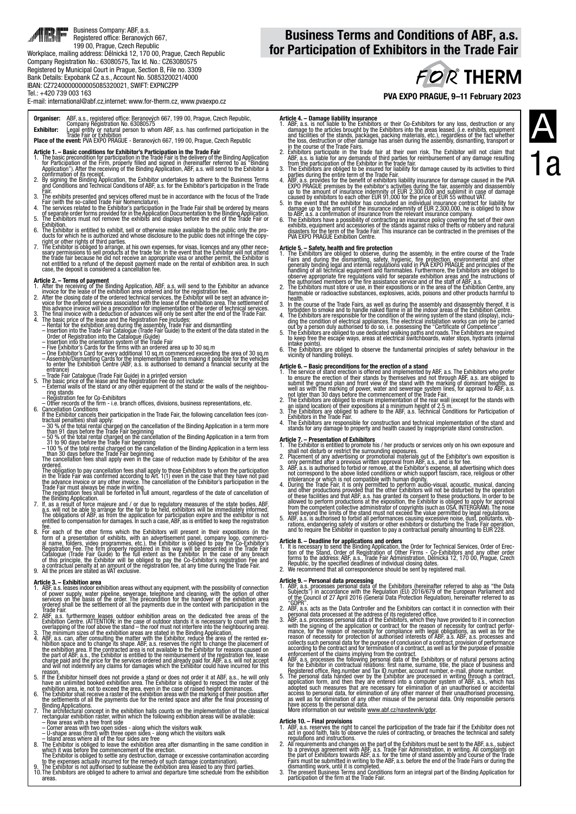### E-mail: international@abf.cz,internet: www.for-therm.cz, www.pvaexpo.cz

Organiser: ABF, a.s., registered office: Beranových 667, 199 00, Prague, Czech Republic, Company Registration No. 63080575

E**xhibitor:** Legal entity or natural person to whom ABF, a.s. has confirmed participation in the<br>**Place of the event:** PVA e Exhibition<br>**Place of the event:** PVA EXPO PRAGUE - Beranových 667, 199 00, Prague, Czech Republic

- Article 1. Basic conditions for Exhibitor's Participation in the Trade Fair
- 1. The basic precondition for participation in the Trade Fair is the delivery of the Binding Application.<br>6ro Participation of the Firm, properly filled and signed in (hereinafter referred to as<br>Application"). After the re
- 2. By signification of its receipt.<br>
2. By signification of its receipt.<br>
2. By signification of its receipt.<br>
2. By signification and Technical Conditions of ABF, a.s. for the Exhibitor's participation in the Trade
- Fair.<br>3. The exhibits presented and services offered must be in accordance with the focus of the Trade.<br>4. The services related to the Exhibitor's participation in the Trade Fair shall be ordered by means.<br>4. The services
- 
- 
- 6. The Exhibitor is entitled to exhibit, sell or otherwise make available to the public only the pro- ducts for which he is authorized and whose disclosure to the public does not infringe the copy-
- 
- right or other rights of third parties.<br>The Exhibitor is obliged to arrange, at his own expenses, for visas, licences and any other nece-<br>sary permissions to sell products at the trade fair. In the event that the Exhibitor

- **Article 2. Terms of payment**<br>1. After the receiving of the Binding Application, ABF, a.s. will send to the Exhibitor an advance<br>1. After the clear of the exhibition area ordered and for the registration fee.<br>2. After th
- 
- this advance invoice will be a precondition for implementation of the order of technical services.<br>3. The final invoice with a deduction of advances will only be sent after the end of the Trade Fair.<br>4. The basic price of
- 
- 
- 
- 
- 
- entrance)<br>
Trade Fair Gatalogue (Trade Fair Guide) in a printed version<br>
5. The basic price of the lease and the Registration Fee do not include:<br>
 External walls of the stand or any other equipment of the stand or the wa
- 
- Other records of the firm i.e. branch offices, divisions, business representations, etc.<br>
6. Cancellation Conditions<br>
If the Exhibitor cancels their participation in the Trade Fair, the following cancellation fees (co
- 
- 
- 
- 

- The obligation to pay cancellation fees shall apply to those Exhibitors to whom the participation in the Trade Fair was continued according to Art. 1(1) even in the case that they have not paid in the Trade Fair must alway
- 8. For each of the other firms which the Exhibitors will present in their expositions (in the drim of a presentation of exhibits, with an advertisement panel, company logo, commercial aname, folders, video programmes, etc.
- 

- **Article 3. Exhibition area** without any equipment, with the possibility of connection<br>1. ABF, a.s. leases indoor exhibition areas without any equipment, with the possibility of connection<br>of power supply, water pipeline
- Trade Fair.<br>2. ABF, a.s. furthermore leases outdoor exhibition areas on the dedicated free areas of the<br>Exhibition Centre. (ATTENTION: in the case of outdoor stands it is necessary to count with the overlapping of the roof above the stand – the roof must not interfere into the neighbouring area). 3. The minimum sizes of the exhibition areas are stated in the Binding Application.
- 4. ABF, a.s. can, after consulting the matter with the Exhibitor, reduce the area of the rented ex-<br>hibition space and to change its shape. ABF, a.s. reserves the rejard to change the placement of<br>the exhibition area. If
- reason.<br>5. If the Exhibitor himself does not provide a stand or does not order it at ABF, a.s., he will only<br>have an unlimited booked exhibition area. The Exhibitor is obliged to respect the raster of the
- exhibition area, ie. not to exceed the area, even in the case of raised height dominances.<br>6. The Exhibitor shall receive a raster of the exhibition areas with the marking of their position after<br>the settlements of all th
- Binding Applications.<br>
The architectural concept in the exhibition halls counts on the implementation of the classical<br>
rectangular exhibition raster, within which the following exhibition areas will be available:<br>
 Row a
- 
- 
- 
- The Exhibitor is obliged to settle any destruction, damage or excessive contamination according<br>to the expenses actually incurred for the remedy of such damage (contamination).<br>9. The Exhibitor is not authorised to subleas
- 10. The Exhibitors are obliged to adhere to arrival and departure time schedule from the exhibition areas.

# **FOR THERM**

PVA EXPO PRAGUE, 9–11 February 2023

- **Article 4. Damage liability insurance**<br>1. ABF, a.s. is not liable to the Exhibitors or their Co-Exhibitors for any loss, destruction or any<br>damage to the articles brought by the Exhibitors into the areas leased. (i.e. e
- 
- 
- from the participation of the Exhibitor in the trade fair.<br>3. The Exhibitors are obliged to be insured for liability for damage caused by its activities to third<br>parties during the entire term of the Trade Fair.<br>4. ABF, a.
- 
- to ABF, a.s. a confirmation of insurance from the relevant insurance company.<br>6. The Exhibitors have a possibility of contracting an insurance policy covering the set of their own<br>exhibits, equipment and accessories of the

- **Article 5. Safety, health and fire protection**<br>1. The Exhibitors are obliged to observe, during the assembly, in the entire course of the Trade<br>Tair Sam during the dismantling, safety, hygienic, fire protection, environ
- 
- health.<br>3. In the course of the Trade Fairs, as well as during the assembly and disassembly thereof, it is forbidden t<br>6. forbidden to smoke and to handle naked flame in all the indoor areas of the Exhibition Centre.
- 4. The Exhibitors are responsible for the condition of the wiring system of the stand (display), inclu- ding the condition of electrical appliances. The electrical installation works can only be carried
- out by a person duly authorised to do so, i.e. possessing the "Certificate of Competence".<br>5. The Exhibitors are obliged to use dedicated walking paths and roads. The Exhibitors are required<br>to keep free the escape ways, a
- intake points).<br>6. The Exhibitors are obliged to observe the fundamental principles of safety behaviour in the<br>vicinity of handling trolleys.

- **Article 6. Basic preconditions for the erection of a stand**<br>1. The service of stand erection is offered and implemented by ABF, a.s. The Exhibitors who prefer<br>to ensure the erection of their stands by themselves and no
- 
- 
- 4. The Exhibitors are responsible for construction and technical implementation of the stand and<br>stands for any damage to property and health caused by inappropriate stand construction.

- 
- **Article 7. Presentation of Exhibitors**<br>1. The Exhibitor is entitled to promote his / her products or services only on his own exposure and<br>1. The Exhibitor or restrict the surrounding exposures<br>2. Placement of any adverti
- 
- intolerance or which is not compatible with human dignity.<br>A During the Trade Fair, it is only permitted to perform audio-visual, acoustic, musical, dancing<br>and other productions provided that the other Exhibitors will not
- 

**Article 8. – Deadline for applications and orders**<br>1. It is necessary to send the Binding Application, the Order for Technical Services, Order of Erec-<br>tion of the Stand, Order of Registration of Other Firms - Co-Exhibito

- **Article 9. Personal data processing**<br>1. ABF, a.s. processes personal data of the Exhibitors (hereinafter referred to also as "the Data"<br>5. Subjects") in accordance with the Regulation (EU) 2016/679 of the European Parli
- 2. ABF, a.s. acts as the Data Controller and the Exhibitors can contact it in connection with their
- 2. ABF, a.s. acts as the Data Controller and the Exhibitors can contact it in connection with their<br>gersonal data processed at the address of its registered office.<br>The same consesses personal data of the Exhibitors, which
- 
- Registered office, Reg.number and Tax ID number, account number, e-mail, phone number.<br>5. The personal data handed over by the Exhibitor are processed in writing through a contract,<br>application form, and then they are ent

Article 10. – Final provisions<br>1. ABF, a.s. reserves the right to cancel the participation of the trade fair if the Exhibitor does not<br>act in good faith, fails to observe the rules of contracting, or breaches the technical

- regulations and instructions.<br>
2. All requirements and changes on the part of the Exhibitors must be sent to the ABF, a.s., subject<br>
the part of the finite part of the finite part of the finite part of the part of Exhibito
- 

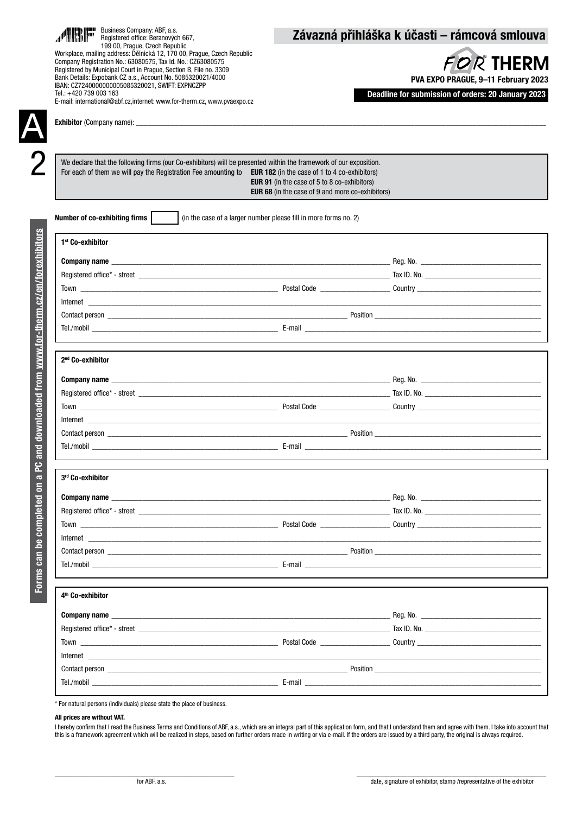| Business Company: ABF, a.s.<br>Registered office: Beranových 667,<br>199 00, Prague, Czech Republic                                                                                                                                                                                                                                                                                                                                |                                                                                                                | Závazná přihláška k účasti – rámcová smlouva                                                                  |
|------------------------------------------------------------------------------------------------------------------------------------------------------------------------------------------------------------------------------------------------------------------------------------------------------------------------------------------------------------------------------------------------------------------------------------|----------------------------------------------------------------------------------------------------------------|---------------------------------------------------------------------------------------------------------------|
| Workplace, mailing address: Dělnická 12, 170 00, Prague, Czech Republic<br>Company Registration No.: 63080575, Tax Id. No.: CZ63080575<br>Registered by Municipal Court in Prague, Section B, File no. 3309<br>Bank Details: Expobank CZ a.s., Account No. 5085320021/4000<br>IBAN: CZ7240000000005085320021, SWIFT: EXPNCZPP<br>Tel.: +420 739 003 163<br>E-mail: international@abf.cz,internet: www.for-therm.cz, www.pvaexpo.cz |                                                                                                                | <b>FOR THERM</b><br>PVA EXPO PRAGUE, 9-11 February 2023<br>Deadline for submission of orders: 20 January 2023 |
|                                                                                                                                                                                                                                                                                                                                                                                                                                    |                                                                                                                |                                                                                                               |
| We declare that the following firms (our Co-exhibitors) will be presented within the framework of our exposition.<br>For each of them we will pay the Registration Fee amounting to EUR 182 (in the case of 1 to 4 co-exhibitors)                                                                                                                                                                                                  | <b>EUR 91</b> (in the case of 5 to 8 co-exhibitors)<br><b>EUR 68</b> (in the case of 9 and more co-exhibitors) |                                                                                                               |
| Number of co-exhibiting firms<br>(in the case of a larger number please fill in more forms no. 2)                                                                                                                                                                                                                                                                                                                                  |                                                                                                                |                                                                                                               |
| 1 <sup>st</sup> Co-exhibitor                                                                                                                                                                                                                                                                                                                                                                                                       |                                                                                                                |                                                                                                               |
|                                                                                                                                                                                                                                                                                                                                                                                                                                    |                                                                                                                |                                                                                                               |
|                                                                                                                                                                                                                                                                                                                                                                                                                                    |                                                                                                                |                                                                                                               |
|                                                                                                                                                                                                                                                                                                                                                                                                                                    |                                                                                                                |                                                                                                               |
|                                                                                                                                                                                                                                                                                                                                                                                                                                    |                                                                                                                |                                                                                                               |
|                                                                                                                                                                                                                                                                                                                                                                                                                                    |                                                                                                                |                                                                                                               |
|                                                                                                                                                                                                                                                                                                                                                                                                                                    |                                                                                                                |                                                                                                               |
|                                                                                                                                                                                                                                                                                                                                                                                                                                    |                                                                                                                |                                                                                                               |
| 2 <sup>nd</sup> Co-exhibitor                                                                                                                                                                                                                                                                                                                                                                                                       |                                                                                                                |                                                                                                               |
|                                                                                                                                                                                                                                                                                                                                                                                                                                    |                                                                                                                |                                                                                                               |
|                                                                                                                                                                                                                                                                                                                                                                                                                                    |                                                                                                                |                                                                                                               |
|                                                                                                                                                                                                                                                                                                                                                                                                                                    |                                                                                                                |                                                                                                               |
|                                                                                                                                                                                                                                                                                                                                                                                                                                    |                                                                                                                |                                                                                                               |
|                                                                                                                                                                                                                                                                                                                                                                                                                                    |                                                                                                                |                                                                                                               |
|                                                                                                                                                                                                                                                                                                                                                                                                                                    |                                                                                                                |                                                                                                               |
|                                                                                                                                                                                                                                                                                                                                                                                                                                    |                                                                                                                |                                                                                                               |
| 3rd Co-exhibitor                                                                                                                                                                                                                                                                                                                                                                                                                   |                                                                                                                |                                                                                                               |
|                                                                                                                                                                                                                                                                                                                                                                                                                                    |                                                                                                                |                                                                                                               |
|                                                                                                                                                                                                                                                                                                                                                                                                                                    |                                                                                                                |                                                                                                               |
|                                                                                                                                                                                                                                                                                                                                                                                                                                    |                                                                                                                |                                                                                                               |
|                                                                                                                                                                                                                                                                                                                                                                                                                                    |                                                                                                                |                                                                                                               |
|                                                                                                                                                                                                                                                                                                                                                                                                                                    |                                                                                                                |                                                                                                               |
|                                                                                                                                                                                                                                                                                                                                                                                                                                    |                                                                                                                |                                                                                                               |
| 4 <sup>th</sup> Co-exhibitor                                                                                                                                                                                                                                                                                                                                                                                                       |                                                                                                                |                                                                                                               |
|                                                                                                                                                                                                                                                                                                                                                                                                                                    |                                                                                                                |                                                                                                               |
|                                                                                                                                                                                                                                                                                                                                                                                                                                    |                                                                                                                |                                                                                                               |
|                                                                                                                                                                                                                                                                                                                                                                                                                                    |                                                                                                                |                                                                                                               |
|                                                                                                                                                                                                                                                                                                                                                                                                                                    |                                                                                                                |                                                                                                               |
|                                                                                                                                                                                                                                                                                                                                                                                                                                    |                                                                                                                |                                                                                                               |
| Contact person <u>the contract of the contract person</u> contract person in the contract person of the contract person of the contract person of the contract person of the contract person of the contract person of the contract                                                                                                                                                                                                |                                                                                                                |                                                                                                               |
|                                                                                                                                                                                                                                                                                                                                                                                                                                    |                                                                                                                |                                                                                                               |

\* For natural persons (individuals) please state the place of business.

### All prices are without VAT.

I hereby confirm that I read the Business Terms and Conditions of ABF, a.s., which are an integral part of this application form, and that I understand them and agree with them. I take into account that this is a framework agreement which will be realized in steps, based on further orders made in writing or via e-mail. If the orders are issued by a third party, the original is always required.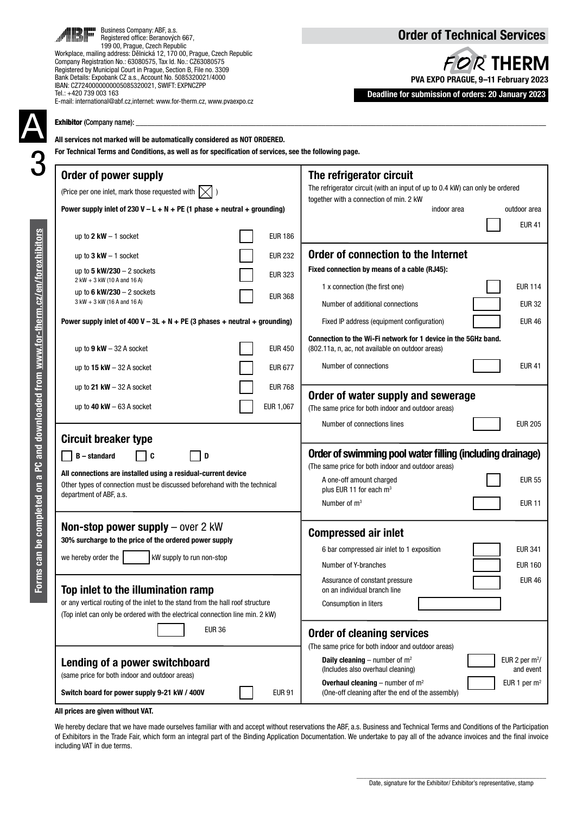| Business Company: ABF, a.s.<br>difficultum Registered office: Beranový<br>Registered office: Beranových 667. | <b>Order of Technical Services</b>                       |
|--------------------------------------------------------------------------------------------------------------|----------------------------------------------------------|
| 199 00, Prague, Czech Republic                                                                               |                                                          |
| Workplace, mailing address: Dělnická 12, 170 00, Prague, Czech Republic                                      |                                                          |
| Company Registration No.: 63080575, Tax Id. No.: C763080575                                                  | $L$ $D$ $D$ <sup><math>\sim</math></sup> TLICDM $\prime$ |

FOR THERM PVA EXPO PRAGUE, 9–11 February 2023

Deadline for submission of orders: 20 January 2023

|                                                                            | Exhibitor (Company name):<br>All services not marked will be automatically considered as NOT ORDERED.<br>For Technical Terms and Conditions, as well as for specification of services, see the following page.                         |                                                                                                                                                                                                                                                                                          |
|----------------------------------------------------------------------------|----------------------------------------------------------------------------------------------------------------------------------------------------------------------------------------------------------------------------------------|------------------------------------------------------------------------------------------------------------------------------------------------------------------------------------------------------------------------------------------------------------------------------------------|
|                                                                            | Order of power supply<br>(Price per one inlet, mark those requested with $\vert \times \vert$ )<br>Power supply inlet of 230 V – L + N + PE (1 phase + neutral + grounding)                                                            | The refrigerator circuit<br>The refrigerator circuit (with an input of up to 0.4 kW) can only be ordered<br>together with a connection of min. 2 kW<br>indoor area<br>outdoor area<br><b>EUR 41</b>                                                                                      |
|                                                                            | <b>EUR 186</b><br>up to $2$ kW $-$ 1 socket                                                                                                                                                                                            |                                                                                                                                                                                                                                                                                          |
|                                                                            | <b>EUR 232</b><br>up to $3 \text{ kW} - 1 \text{ socket}$<br>up to 5 $kW/230 - 2$ sockets<br><b>EUR 323</b>                                                                                                                            | Order of connection to the Internet<br>Fixed connection by means of a cable (RJ45):                                                                                                                                                                                                      |
|                                                                            | 2 kW + 3 kW (10 A and 16 A)<br>up to 6 $kW/230 - 2$ sockets<br><b>EUR 368</b><br>3 kW + 3 kW (16 A and 16 A)                                                                                                                           | <b>EUR 114</b><br>1 x connection (the first one)<br><b>EUR 32</b><br>Number of additional connections                                                                                                                                                                                    |
|                                                                            | Power supply inlet of 400 V – 3L + N + PE (3 phases + neutral + grounding)                                                                                                                                                             | <b>EUR 46</b><br>Fixed IP address (equipment configuration)                                                                                                                                                                                                                              |
|                                                                            | <b>EUR 450</b><br>up to $9$ kW $-$ 32 A socket                                                                                                                                                                                         | Connection to the Wi-Fi network for 1 device in the 5GHz band.<br>(802.11a, n, ac, not available on outdoor areas)                                                                                                                                                                       |
|                                                                            | <b>EUR 677</b><br>up to $15$ kW $-$ 32 A socket                                                                                                                                                                                        | Number of connections<br><b>EUR 41</b>                                                                                                                                                                                                                                                   |
|                                                                            | up to 21 $kW - 32$ A socket<br><b>EUR 768</b>                                                                                                                                                                                          | Order of water supply and sewerage                                                                                                                                                                                                                                                       |
|                                                                            | EUR 1,067<br>up to 40 $kW - 63$ A socket                                                                                                                                                                                               | (The same price for both indoor and outdoor areas)<br>Number of connections lines<br><b>EUR 205</b>                                                                                                                                                                                      |
| PC and downloaded from www.for-therm.cz/en/forexhibitors<br>completed on a | <b>Circuit breaker type</b><br><b>B</b> – standard<br>∣c<br>D<br>All connections are installed using a residual-current device<br>Other types of connection must be discussed beforehand with the technical<br>department of ABF, a.s. | Order of swimming pool water filling (including drainage)<br>(The same price for both indoor and outdoor areas)<br>A one-off amount charged<br><b>EUR 55</b><br>plus EUR 11 for each m <sup>3</sup><br>Number of $m3$<br><b>EUR 11</b>                                                   |
| Forms can bo                                                               | Non-stop power supply $-$ over 2 kW<br>30% surcharge to the price of the ordered power supply<br>we hereby order the<br>kW supply to run non-stop                                                                                      | <b>Compressed air inlet</b><br><b>EUR 341</b><br>6 bar compressed air inlet to 1 exposition<br><b>EUR 160</b><br>Number of Y-branches                                                                                                                                                    |
|                                                                            | Top inlet to the illumination ramp<br>or any vertical routing of the inlet to the stand from the hall roof structure<br>(Top inlet can only be ordered with the electrical connection line min. 2 kW)<br><b>EUR 36</b>                 | <b>EUR 46</b><br>Assurance of constant pressure<br>on an individual branch line<br>Consumption in liters<br><b>Order of cleaning services</b>                                                                                                                                            |
|                                                                            | Lending of a power switchboard<br>(same price for both indoor and outdoor areas)<br>Switch board for power supply 9-21 kW / 400V<br><b>EUR 91</b>                                                                                      | (The same price for both indoor and outdoor areas)<br><b>Daily cleaning</b> – number of $m^2$<br>EUR 2 per $m^2$ /<br>(Includes also overhaul cleaning)<br>and event<br>EUR 1 per $m2$<br><b>Overhaul cleaning</b> – number of $m^2$<br>(One-off cleaning after the end of the assembly) |

All prices are given without VAT.

Business Company: ABF, a.s. Registered office: Beranových 667, 199 00, Prague, Czech Republic

Company Registration No.: 63080575, Tax Id. No.: CZ63080575 Registered by Municipal Court in Prague, Section B, File no. 3309 Bank Details: Expobank CZ a.s., Account No. 5085320021/4000 IBAN: CZ7240000000005085320021, SWIFT: EXPNCZPP

E-mail: international@abf.cz,internet: www.for-therm.cz, www.pvaexpo.cz

Tel.: +420 739 003 163

We hereby declare that we have made ourselves familiar with and accept without reservations the ABF, a.s. Business and Technical Terms and Conditions of the Participation of Exhibitors in the Trade Fair, which form an integral part of the Binding Application Documentation. We undertake to pay all of the advance invoices and the final invoice including VAT in due terms.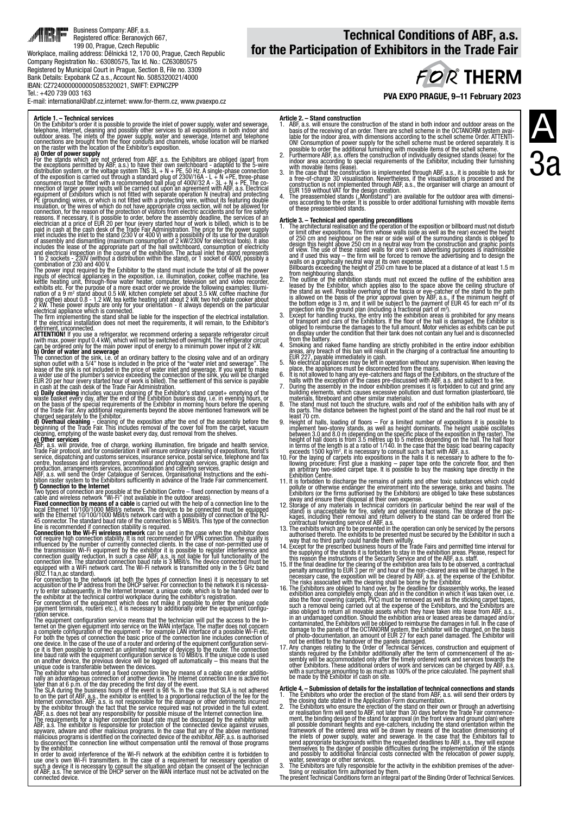

### E-mail: international@abf.cz,internet: www.for-therm.cz, www.pvaexpo.cz

**Article 1. – Technical services**<br>On the Exhibitor's order it is possible to provide the inlet of power supply, water and sewerage,<br>Dr the Exhibitor's order it is possibly other services to all expositions in both indoor a

**a) Order of power supply**<br>For the stands which are not ordered from ABF, a.s. the Exhibitors are obliged (apart from<br>fthe exceptions permitted by ABF, a.s.) to have their own switchboard - adapted to the 5-wire<br>distribut

inputs of electrical appliances in the exposition, i.e. illumination, cooker, coffee machine, teat<br>kettle heating unit, through-flow water heater, computer, television set and video recorder,<br>exhibits etc. For the purpose

detriment, unconnected.<br>
ATTENTION! If you use a refrigerator, we recommend ordering a separate refrigerator circuit<br>
ATTENTION! If you use a refrigerator will not be switched off overnight. The refrigerator circuit<br>
can b

Trade Fair profocol, and for consideration it will ensure ordinal profocol, and for sometions, florist's<br>service, dispatching and customs services, insurance service, postal service, delephone and fax<br>centre, hostesses and

ternet of the given equipment into service on the WAN litterface. The matter does not concerned to the given between the best of the connection of the equipment - for example LAN interface of a possible Wi-FietC-<br>For both

## Technical Conditions of ABF, a.s. for the Participation of Exhibitors in the Trade Fair

# **FOR THERM**

PVA EXPO PRAGUE, 9–11 February 2023

- **Article 2. Stand construction**<br>1. ABF, a.s. will ensure the construction of the stand in both indoor and outdoor areas on the<br>basis of the receiving of an order. There are schell scheme in the OCTANORM system avai-<br>la
- 
- with movable items (fease).<br>
3. In the case that the construction is implemented through ABF, a.s., it is possible to ask for<br>
a free-of-charge 3D visualisation. Nevertheless, if the visualisation is processed and the<br>
con
- 

**Article 3. – Technical and operating preconditions**<br>1. The architectural realisation and the operation of the exposition or billboard must not disturb<br>or limit other expositions. The firm whose walls (side as well as the

- 
- 
- 
- 
- 
- EUR 227, payable immediately in cash.<br>
5. No electrical appliances may be left in operation without any supervision. When leaving the<br>
place, the appliances must be disconnected from the mains.<br>
6. It is not allowed to han
- 
- materials, fibreboard and other similar materials).<br>8. The stand must not touch the structure, walls and roof of the exhibition halls with any of<br>its parts. The distance between the highest point of the stand and the hall
- 9. Height of halls, loading of floors For a limited number of expositions it is possible to implement two-storey stands, as well as height dominants. The height usable oscillates between 3.0 and 8.0 m (depending on the
- 
- 
- 11. It is forbidden to discharge the remains of paints and other toxic substances which could<br>gollute or otherwise endanger the environment into the sewerage, sinks and basins. The<br>exhibitors (or the firms authorised by th
- 
- way that no third party could handle them wilfully.<br>14. Except for the prescribed business hours of the Trade Fairs and permitted time interval for<br>the supplying of the stands it is forbidden to stay in the exhibition area
- this reason the instructions of the Security Service and of the ABF, a.s. staff.<br>15. If the final deadline for the clearing of the exhibition area fails to be observed, a contractual<br>penalty amounting to EUR 3 per m<sup>2</sup> and
- The risks' associated with the clearing shall be borne by the Exhibitor.<br>16. The Exhibitions are obliged to hand over, by the deadline for disassembly works, the leased<br>exhibition area completely empty, clean and in the co
- 

- **Article 4. Submission of details for the installation of technical connections and stands<br>1. The Exhibitors who order the receion of the stand from ABF, a.s. will send their orders by<br>the closing date stated in the Appl**
- 

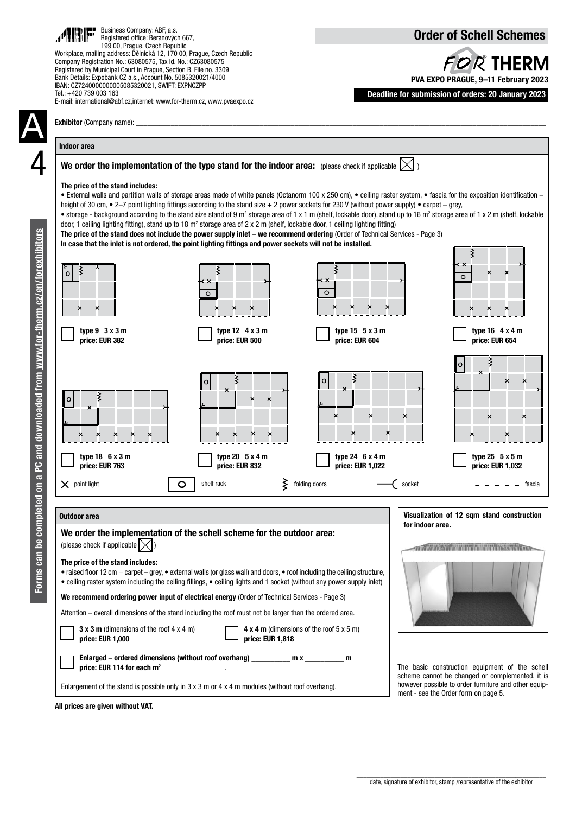| Business Company: ABF, a.s.<br>Registered office: Beranových 667,<br>199 00, Prague, Czech Republic<br>Workplace, mailing address: Dělnická 12, 170 00, Prague, Czech Republic<br>Company Registration No.: 63080575, Tax Id. No.: CZ63080575<br>Registered by Municipal Court in Prague, Section B, File no. 3309<br>Bank Details: Expobank CZ a.s., Account No. 5085320021/4000<br>IBAN: CZ7240000000005085320021, SWIFT: EXPNCZPP<br>Tel.: +420 739 003 163<br>E-mail: international@abf.cz,internet: www.for-therm.cz, www.pvaexpo.cz |                                                                                                                                                                                                                                                                                                                                                                                                                                                                                                                                                                                                                                                       |                                                                                                                                                                                                                                                                                                                                                                                                                                                                                                                                                                                                                                                                                                                                                                                                    | <b>Order of Schell Schemes</b><br>FOR THERM<br>PVA EXPO PRAGUE, 9-11 February 2023<br>Deadline for submission of orders: 20 January 2023 |
|-------------------------------------------------------------------------------------------------------------------------------------------------------------------------------------------------------------------------------------------------------------------------------------------------------------------------------------------------------------------------------------------------------------------------------------------------------------------------------------------------------------------------------------------|-------------------------------------------------------------------------------------------------------------------------------------------------------------------------------------------------------------------------------------------------------------------------------------------------------------------------------------------------------------------------------------------------------------------------------------------------------------------------------------------------------------------------------------------------------------------------------------------------------------------------------------------------------|----------------------------------------------------------------------------------------------------------------------------------------------------------------------------------------------------------------------------------------------------------------------------------------------------------------------------------------------------------------------------------------------------------------------------------------------------------------------------------------------------------------------------------------------------------------------------------------------------------------------------------------------------------------------------------------------------------------------------------------------------------------------------------------------------|------------------------------------------------------------------------------------------------------------------------------------------|
| Exhibitor (Company name):                                                                                                                                                                                                                                                                                                                                                                                                                                                                                                                 |                                                                                                                                                                                                                                                                                                                                                                                                                                                                                                                                                                                                                                                       |                                                                                                                                                                                                                                                                                                                                                                                                                                                                                                                                                                                                                                                                                                                                                                                                    |                                                                                                                                          |
| <b>Indoor area</b>                                                                                                                                                                                                                                                                                                                                                                                                                                                                                                                        |                                                                                                                                                                                                                                                                                                                                                                                                                                                                                                                                                                                                                                                       |                                                                                                                                                                                                                                                                                                                                                                                                                                                                                                                                                                                                                                                                                                                                                                                                    |                                                                                                                                          |
| The price of the stand includes:                                                                                                                                                                                                                                                                                                                                                                                                                                                                                                          | door, 1 ceiling lighting fitting), stand up to 18 $m^2$ storage area of 2 x 2 m (shelf, lockable door, 1 ceiling lighting fitting)<br>In case that the inlet is not ordered, the point lighting fittings and power sockets will not be installed.                                                                                                                                                                                                                                                                                                                                                                                                     | We order the implementation of the type stand for the indoor area: (please check if applicable $ \times $ )<br>• External walls and partition walls of storage areas made of white panels (Octanorm 100 x 250 cm), • ceiling raster system, • fascia for the exposition identification –<br>height of 30 cm, $\bullet$ 2-7 point lighting fittings according to the stand size + 2 power sockets for 230 V (without power supply) $\bullet$ carpet – grey,<br>• storage - background according to the stand size stand of 9 m <sup>2</sup> storage area of 1 x 1 m (shelf, lockable door), stand up to 16 m <sup>2</sup> storage area of 1 x 2 m (shelf, lockable<br>The price of the stand does not include the power supply inlet – we recommend ordering (Order of Technical Services - Page 3) |                                                                                                                                          |
|                                                                                                                                                                                                                                                                                                                                                                                                                                                                                                                                           | $\circ$                                                                                                                                                                                                                                                                                                                                                                                                                                                                                                                                                                                                                                               | $\circ$                                                                                                                                                                                                                                                                                                                                                                                                                                                                                                                                                                                                                                                                                                                                                                                            | $\circ$                                                                                                                                  |
| type $9 \cdot 3 \times 3$ m<br>price: EUR 382                                                                                                                                                                                                                                                                                                                                                                                                                                                                                             | type $12 \quad 4 \times 3 \text{ m}$<br>price: EUR 500                                                                                                                                                                                                                                                                                                                                                                                                                                                                                                                                                                                                | type $15 \t 5 \times 3 \text{ m}$<br>price: EUR 604                                                                                                                                                                                                                                                                                                                                                                                                                                                                                                                                                                                                                                                                                                                                                | type $16$ 4 x 4 m<br>price: EUR 654                                                                                                      |
| o                                                                                                                                                                                                                                                                                                                                                                                                                                                                                                                                         | ×                                                                                                                                                                                                                                                                                                                                                                                                                                                                                                                                                                                                                                                     | o<br>×<br>×<br>×<br>×                                                                                                                                                                                                                                                                                                                                                                                                                                                                                                                                                                                                                                                                                                                                                                              | ×<br>×<br>×                                                                                                                              |
| type $18$ 6 x 3 m<br>price: EUR 763                                                                                                                                                                                                                                                                                                                                                                                                                                                                                                       | type $20 \t 5 \times 4 \text{ m}$<br>price: EUR 832                                                                                                                                                                                                                                                                                                                                                                                                                                                                                                                                                                                                   | type $24 \cdot 6 \times 4 \text{ m}$<br>price: EUR 1,022                                                                                                                                                                                                                                                                                                                                                                                                                                                                                                                                                                                                                                                                                                                                           | type $25\,5 \times 5$ m<br>price: EUR 1,032                                                                                              |
| $\times$ point light                                                                                                                                                                                                                                                                                                                                                                                                                                                                                                                      | ₹<br>shelf rack<br>O                                                                                                                                                                                                                                                                                                                                                                                                                                                                                                                                                                                                                                  | folding doors<br>socket                                                                                                                                                                                                                                                                                                                                                                                                                                                                                                                                                                                                                                                                                                                                                                            | fascia                                                                                                                                   |
| Outdoor area                                                                                                                                                                                                                                                                                                                                                                                                                                                                                                                              |                                                                                                                                                                                                                                                                                                                                                                                                                                                                                                                                                                                                                                                       |                                                                                                                                                                                                                                                                                                                                                                                                                                                                                                                                                                                                                                                                                                                                                                                                    | Visualization of 12 sqm stand construction<br>for indoor area.                                                                           |
| (please check if applicable $ \times $ )<br>The price of the stand includes:<br>3 x 3 m (dimensions of the roof $4 \times 4$ m)<br>price: EUR 1,000                                                                                                                                                                                                                                                                                                                                                                                       | We order the implementation of the schell scheme for the outdoor area:<br>• raised floor 12 cm + carpet – grey, • external walls (or glass wall) and doors, • roof including the ceiling structure,<br>• ceiling raster system including the ceiling fillings, • ceiling lights and 1 socket (without any power supply inlet)<br>We recommend ordering power input of electrical energy (Order of Technical Services - Page 3)<br>Attention – overall dimensions of the stand including the roof must not be larger than the ordered area.<br>price: EUR 1,818<br>Enlarged – ordered dimensions (without roof overhang) ___________ m x ___________ m | <b>4 x 4 m</b> (dimensions of the roof $5 \times 5$ m)                                                                                                                                                                                                                                                                                                                                                                                                                                                                                                                                                                                                                                                                                                                                             | <b>TITLE</b>                                                                                                                             |

The basic construction equipment of the schell scheme cannot be changed or complemented, it is however possible to order furniture and other equipment - see the Order form on page 5.

All prices are given without VAT.

 . Enlargement of the stand is possible only in 3 x 3 m or 4 x 4 m modules (without roof overhang).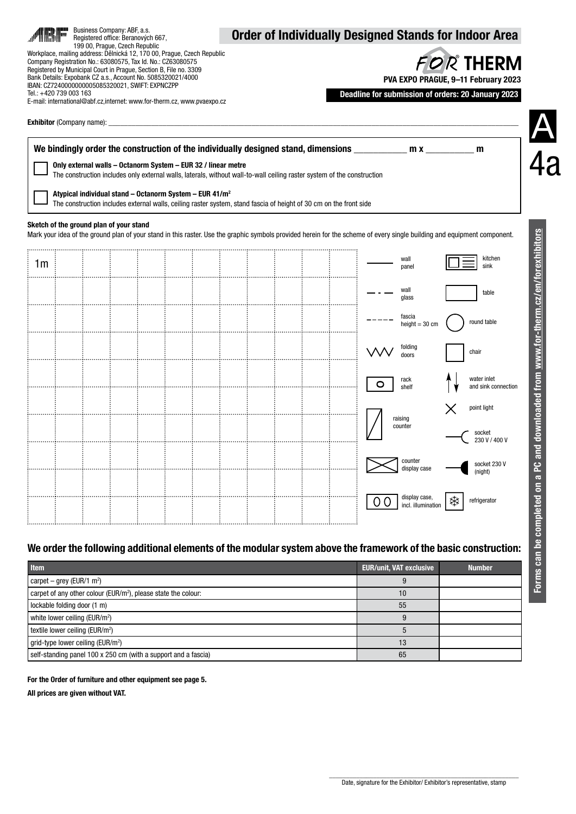|                | Įm                                    | Business Company: ABF, a.s.<br>199 00, Praque, Czech Republic | Registered office: Beranových 667,                                                                                                                                                                                                                 |                                                                                                                                                    |  |  |                                                                                                                         |        |                                                                                                                |   | <b>Order of Individually Designed Stands for Indoor Area</b>                                                                                                             |
|----------------|---------------------------------------|---------------------------------------------------------------|----------------------------------------------------------------------------------------------------------------------------------------------------------------------------------------------------------------------------------------------------|----------------------------------------------------------------------------------------------------------------------------------------------------|--|--|-------------------------------------------------------------------------------------------------------------------------|--------|----------------------------------------------------------------------------------------------------------------|---|--------------------------------------------------------------------------------------------------------------------------------------------------------------------------|
|                | Tel.: +420 739 003 163                |                                                               | Company Registration No.: 63080575, Tax Id. No.: CZ63080575<br>Registered by Municipal Court in Prague, Section B, File no. 3309<br>Bank Details: Expobank CZ a.s., Account No. 5085320021/4000<br>IBAN: CZ7240000000005085320021, SWIFT: EXPNCZPP | Workplace, mailing address: Dělnická 12, 170 00, Prague, Czech Republic<br>E-mail: international@abf.cz,internet: www.for-therm.cz, www.pvaexpo.cz |  |  |                                                                                                                         |        |                                                                                                                |   | FOR THERM<br>PVA EXPO PRAGUE, 9-11 February 2023<br>Deadline for submission of orders: 20 January 2023                                                                   |
|                |                                       |                                                               |                                                                                                                                                                                                                                                    |                                                                                                                                                    |  |  |                                                                                                                         |        |                                                                                                                |   |                                                                                                                                                                          |
|                |                                       |                                                               |                                                                                                                                                                                                                                                    |                                                                                                                                                    |  |  |                                                                                                                         |        | We bindingly order the construction of the individually designed stand, dimensions ___________________________ |   | m                                                                                                                                                                        |
|                |                                       |                                                               |                                                                                                                                                                                                                                                    | Only external walls - Octanorm System - EUR 32 / linear metre                                                                                      |  |  | The construction includes only external walls, laterals, without wall-to-wall ceiling raster system of the construction |        |                                                                                                                |   |                                                                                                                                                                          |
|                |                                       |                                                               |                                                                                                                                                                                                                                                    | Atypical individual stand - Octanorm System - EUR 41/m <sup>2</sup>                                                                                |  |  | The construction includes external walls, ceiling raster system, stand fascia of height of 30 cm on the front side      |        |                                                                                                                |   |                                                                                                                                                                          |
|                |                                       | Sketch of the ground plan of your stand                       |                                                                                                                                                                                                                                                    |                                                                                                                                                    |  |  |                                                                                                                         |        |                                                                                                                |   |                                                                                                                                                                          |
|                |                                       |                                                               |                                                                                                                                                                                                                                                    |                                                                                                                                                    |  |  |                                                                                                                         |        |                                                                                                                |   | Mark your idea of the ground plan of your stand in this raster. Use the graphic symbols provided herein for the scheme of every single building and equipment component. |
| 1 <sub>m</sub> |                                       |                                                               |                                                                                                                                                                                                                                                    |                                                                                                                                                    |  |  |                                                                                                                         |        | wall<br>panel                                                                                                  |   | kitchen<br>sink                                                                                                                                                          |
|                |                                       |                                                               |                                                                                                                                                                                                                                                    |                                                                                                                                                    |  |  |                                                                                                                         |        | wall<br>glass                                                                                                  |   | table                                                                                                                                                                    |
|                |                                       |                                                               |                                                                                                                                                                                                                                                    |                                                                                                                                                    |  |  |                                                                                                                         |        | fascia                                                                                                         |   | round table                                                                                                                                                              |
|                |                                       |                                                               |                                                                                                                                                                                                                                                    |                                                                                                                                                    |  |  |                                                                                                                         |        | height = $30 \text{ cm}$                                                                                       |   |                                                                                                                                                                          |
|                |                                       |                                                               |                                                                                                                                                                                                                                                    |                                                                                                                                                    |  |  |                                                                                                                         |        | folding<br>doors                                                                                               |   | chair                                                                                                                                                                    |
|                |                                       |                                                               |                                                                                                                                                                                                                                                    |                                                                                                                                                    |  |  |                                                                                                                         | O      | rack<br>shelf                                                                                                  |   | water inlet<br>and sink connection                                                                                                                                       |
|                |                                       |                                                               |                                                                                                                                                                                                                                                    |                                                                                                                                                    |  |  |                                                                                                                         |        |                                                                                                                |   | point light                                                                                                                                                              |
|                |                                       |                                                               |                                                                                                                                                                                                                                                    |                                                                                                                                                    |  |  |                                                                                                                         |        | raising<br>counter                                                                                             |   | socket<br>230 V / 400 V                                                                                                                                                  |
|                |                                       |                                                               |                                                                                                                                                                                                                                                    |                                                                                                                                                    |  |  |                                                                                                                         |        | counter                                                                                                        |   |                                                                                                                                                                          |
|                |                                       |                                                               |                                                                                                                                                                                                                                                    |                                                                                                                                                    |  |  |                                                                                                                         |        | display case                                                                                                   |   | socket 230 V<br>(night)                                                                                                                                                  |
|                |                                       |                                                               |                                                                                                                                                                                                                                                    |                                                                                                                                                    |  |  |                                                                                                                         | 0<br>0 | display case,<br>incl. illumination                                                                            | ₩ | refrigerator                                                                                                                                                             |
|                |                                       |                                                               |                                                                                                                                                                                                                                                    |                                                                                                                                                    |  |  |                                                                                                                         |        |                                                                                                                |   |                                                                                                                                                                          |
|                |                                       |                                                               |                                                                                                                                                                                                                                                    |                                                                                                                                                    |  |  |                                                                                                                         |        |                                                                                                                |   | We order the following additional elements of the modular system above the framework of the basic construction:                                                          |
| <b>Item</b>    |                                       |                                                               |                                                                                                                                                                                                                                                    |                                                                                                                                                    |  |  |                                                                                                                         |        | <b>EUR/unit, VAT exclusive</b>                                                                                 |   | <b>Number</b>                                                                                                                                                            |
|                | carpet – grey (EUR/1 m <sup>2</sup> ) |                                                               |                                                                                                                                                                                                                                                    |                                                                                                                                                    |  |  |                                                                                                                         |        | 9                                                                                                              |   |                                                                                                                                                                          |
|                |                                       |                                                               | carpet of any other colour (EUR/m <sup>2</sup> ), please state the colour:                                                                                                                                                                         |                                                                                                                                                    |  |  |                                                                                                                         |        | 10                                                                                                             |   |                                                                                                                                                                          |

# **Item EUR/unit, VAT exclusive Number**

| .                                                                          | <b>LUID GILLY TAIL UNDIGGIVU</b> | . |
|----------------------------------------------------------------------------|----------------------------------|---|
| carpet – grey (EUR/1 m <sup>2</sup> )                                      |                                  |   |
| carpet of any other colour (EUR/m <sup>2</sup> ), please state the colour: | 10                               |   |
| lockable folding door (1 m)                                                | 55                               |   |
| white lower ceiling (EUR/m <sup>2</sup> )                                  |                                  |   |
| textile lower ceiling (EUR/m <sup>2</sup> )                                |                                  |   |
| grid-type lower ceiling (EUR/m <sup>2</sup> )                              | 13                               |   |
| self-standing panel 100 x 250 cm (with a support and a fascia)             | 65                               |   |

## For the Order of furniture and other equipment see page 5.

All prices are given without VAT.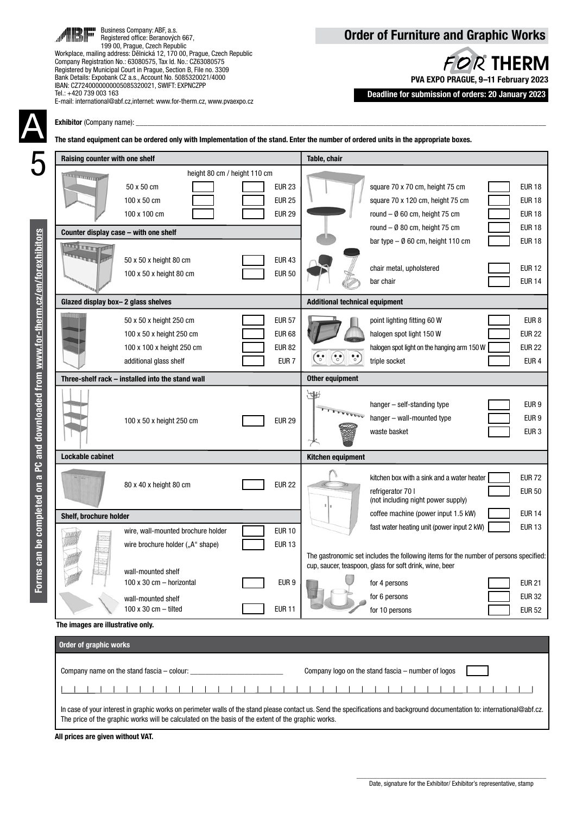

Business Company: ABF, a.s. Registered office: Beranových 667, 199 00, Prague, Czech Republic

Workplace, mailing address: Dělnická 12, 170 00, Prague, Czech Republic Company Registration No.: 63080575, Tax Id. No.: CZ63080575 Registered by Municipal Court in Prague, Section B, File no. 3309 Bank Details: Expobank CZ a.s., Account No. 5085320021/4000 IBAN: CZ7240000000005085320021, SWIFT: EXPNCZPP Tel.: +420 739 003 163 E-mail: international@abf.cz,internet: www.for-therm.cz, www.pvaexpo.cz

# Order of Furniture and Graphic Works

**FOR THERM** PVA EXPO PRAGUE, 9–11 February 2023

Deadline for submission of orders: 20 January 2023

Exhibitor (Company name):

The stand equipment can be ordered only with Implementation of the stand. Enter the number of ordered units in the appropriate boxes.

| Raising counter with one shelf        |                                                                                                            |                                                                     | Table, chair                          |                                                                                                                                                                                                |                                                                        |
|---------------------------------------|------------------------------------------------------------------------------------------------------------|---------------------------------------------------------------------|---------------------------------------|------------------------------------------------------------------------------------------------------------------------------------------------------------------------------------------------|------------------------------------------------------------------------|
| <b>Annual Defendant Chap</b>          | height 80 cm / height 110 cm<br>50 x 50 cm<br>100 x 50 cm<br>100 x 100 cm                                  | <b>EUR 23</b><br><b>EUR 25</b><br><b>EUR 29</b>                     |                                       | square 70 x 70 cm, height 75 cm<br>square 70 x 120 cm, height 75 cm<br>round $ \emptyset$ 60 cm, height 75 cm                                                                                  | <b>EUR 18</b><br><b>EUR 18</b><br><b>EUR 18</b>                        |
| Counter display case - with one shelf |                                                                                                            |                                                                     |                                       | round $-$ Ø 80 cm, height 75 cm                                                                                                                                                                | <b>EUR 18</b>                                                          |
| <b>ATTENT TO ANIMA</b>                | 50 x 50 x height 80 cm<br>100 x 50 x height 80 cm                                                          | <b>EUR 43</b><br><b>EUR 50</b>                                      |                                       | bar type $-$ 0 60 cm, height 110 cm<br>chair metal, upholstered<br>bar chair                                                                                                                   | <b>EUR 18</b><br><b>EUR 12</b><br><b>EUR 14</b>                        |
| Glazed display box-2 glass shelves    |                                                                                                            |                                                                     | <b>Additional technical equipment</b> |                                                                                                                                                                                                |                                                                        |
|                                       | 50 x 50 x height 250 cm<br>100 x 50 x height 250 cm<br>100 x 100 x height 250 cm<br>additional glass shelf | <b>EUR 57</b><br><b>EUR 68</b><br><b>EUR 82</b><br>EUR <sub>7</sub> |                                       | point lighting fitting 60 W<br>halogen spot light 150 W<br>halogen spot light on the hanging arm 150 W<br>triple socket                                                                        | EUR <sub>8</sub><br><b>EUR 22</b><br><b>EUR 22</b><br>EUR <sub>4</sub> |
|                                       | Three-shelf rack – installed into the stand wall                                                           |                                                                     | <b>Other equipment</b>                |                                                                                                                                                                                                |                                                                        |
|                                       | 100 x 50 x height 250 cm                                                                                   | <b>EUR 29</b>                                                       | ₩                                     | hanger - self-standing type<br>hanger - wall-mounted type<br>waste basket                                                                                                                      | EUR <sub>9</sub><br>EUR <sub>9</sub><br>EUR <sub>3</sub>               |
| Lockable cabinet                      |                                                                                                            |                                                                     | <b>Kitchen equipment</b>              |                                                                                                                                                                                                |                                                                        |
|                                       | 80 x 40 x height 80 cm                                                                                     | <b>EUR 22</b>                                                       |                                       | kitchen box with a sink and a water heater<br>refrigerator 70 l<br>(not including night power supply)                                                                                          | <b>EUR 72</b><br><b>EUR 50</b>                                         |
| Shelf, brochure holder                |                                                                                                            |                                                                     |                                       | coffee machine (power input 1.5 kW)                                                                                                                                                            | <b>EUR 14</b>                                                          |
| 江川山                                   | wire, wall-mounted brochure holder<br>wire brochure holder ("A" shape)                                     | <b>EUR 10</b><br><b>EUR 13</b>                                      |                                       | fast water heating unit (power input 2 kW)<br>The gastronomic set includes the following items for the number of persons specified:<br>cup, saucer, teaspoon, glass for soft drink, wine, beer | <b>EUR 13</b>                                                          |
|                                       | wall-mounted shelf<br>100 x 30 cm - horizontal                                                             | EUR 9                                                               |                                       | for 4 persons                                                                                                                                                                                  | <b>EUR 21</b>                                                          |
|                                       | wall-mounted shelf<br>100 x 30 cm $-$ tilted                                                               | <b>EUR 11</b>                                                       |                                       | for 6 persons<br>for 10 persons                                                                                                                                                                | <b>EUR 32</b><br><b>EUR 52</b>                                         |
| The images are illustrative only.     |                                                                                                            |                                                                     |                                       |                                                                                                                                                                                                |                                                                        |
| Order of graphic works                |                                                                                                            |                                                                     |                                       |                                                                                                                                                                                                |                                                                        |
|                                       | Company name on the stand fascia - colour:                                                                 |                                                                     |                                       | Company logo on the stand fascia – number of logos                                                                                                                                             |                                                                        |
|                                       |                                                                                                            |                                                                     |                                       |                                                                                                                                                                                                |                                                                        |

In case of your interest in graphic works on perimeter walls of the stand please contact us. Send the specifications and background documentation to: international@abf.cz. The price of the graphic works will be calculated on the basis of the extent of the graphic works.

All prices are given without VAT.

A

5